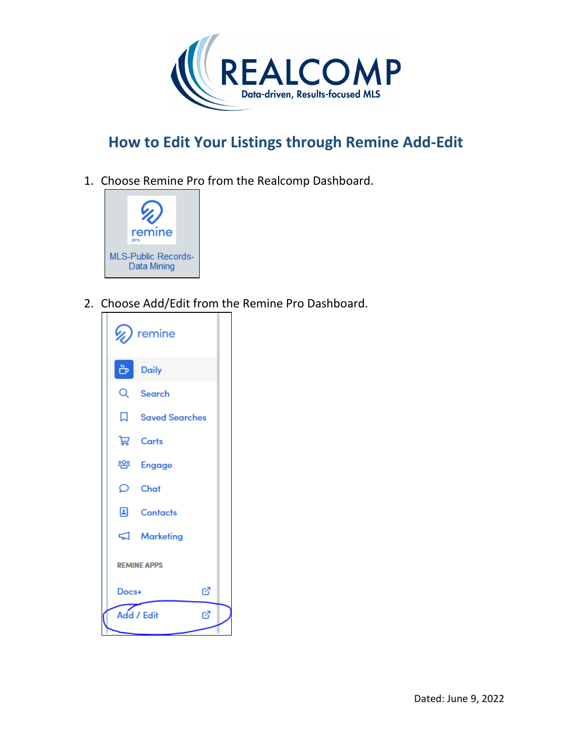

1. Choose Remine Pro from the Realcomp Dashboard.



2. Choose Add/Edit from the Remine Pro Dashboard.

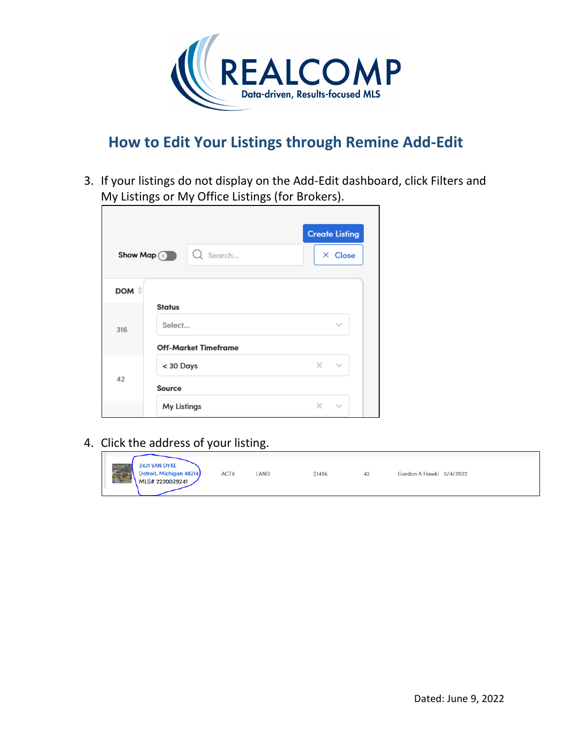

3. If your listings do not display on the Add-Edit dashboard, click Filters and My Listings or My Office Listings (for Brokers).

|       |                              | <b>Create Listing</b> |
|-------|------------------------------|-----------------------|
|       | Search<br>Show Map $\otimes$ | $\times$ Close        |
|       |                              |                       |
| DOM # |                              |                       |
| 316   | <b>Status</b>                |                       |
|       | Select                       | $\checkmark$          |
|       | <b>Off-Market Timeframe</b>  |                       |
| 42    | < 30 Days                    | $\times$ .<br>$\sim$  |
|       | <b>Source</b>                |                       |
|       | My Listings                  | ×.<br>$\sim$          |

4. Click the address of your listing.

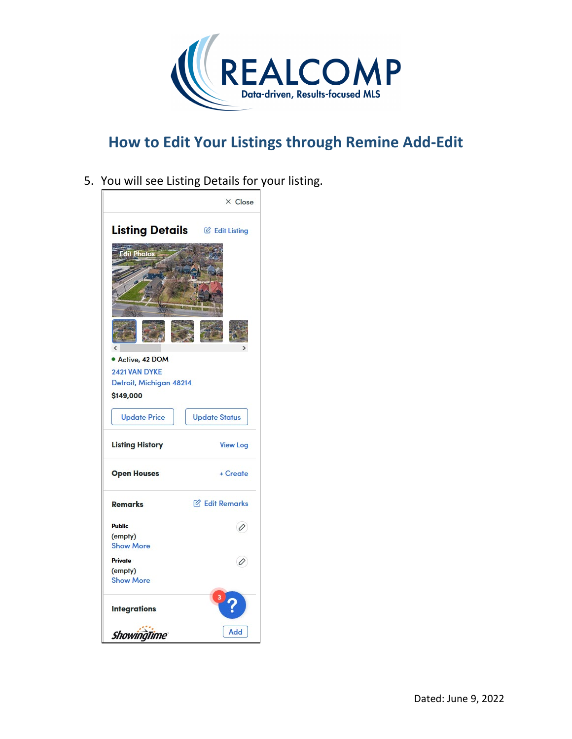

5. You will see Listing Details for your listing.

![](_page_2_Picture_3.jpeg)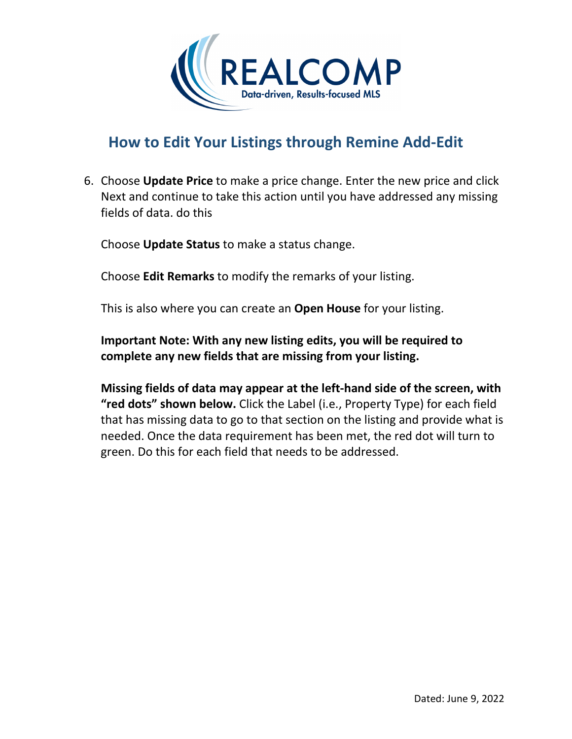![](_page_3_Picture_0.jpeg)

6. Choose **Update Price** to make a price change. Enter the new price and click Next and continue to take this action until you have addressed any missing fields of data. do this

Choose **Update Status** to make a status change.

Choose **Edit Remarks** to modify the remarks of your listing.

This is also where you can create an **Open House** for your listing.

**Important Note: With any new listing edits, you will be required to complete any new fields that are missing from your listing.**

**Missing fields of data may appear at the left-hand side of the screen, with "red dots" shown below.** Click the Label (i.e., Property Type) for each field that has missing data to go to that section on the listing and provide what is needed. Once the data requirement has been met, the red dot will turn to green. Do this for each field that needs to be addressed.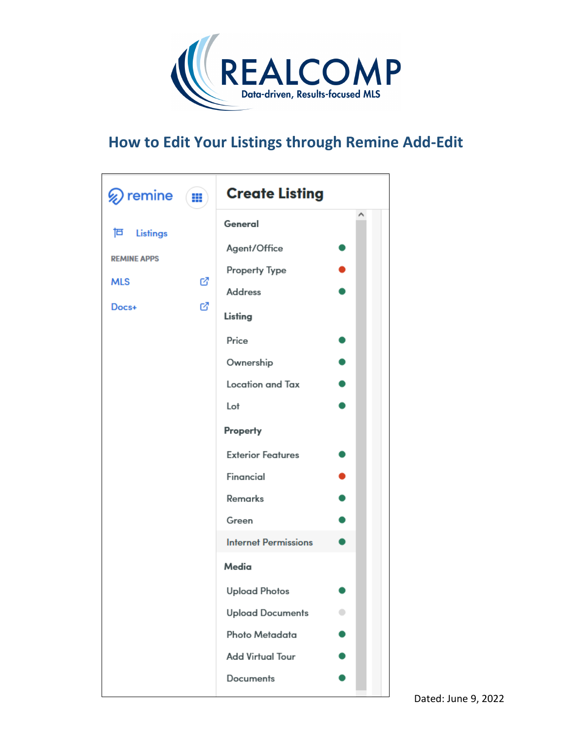![](_page_4_Picture_0.jpeg)

![](_page_4_Picture_2.jpeg)